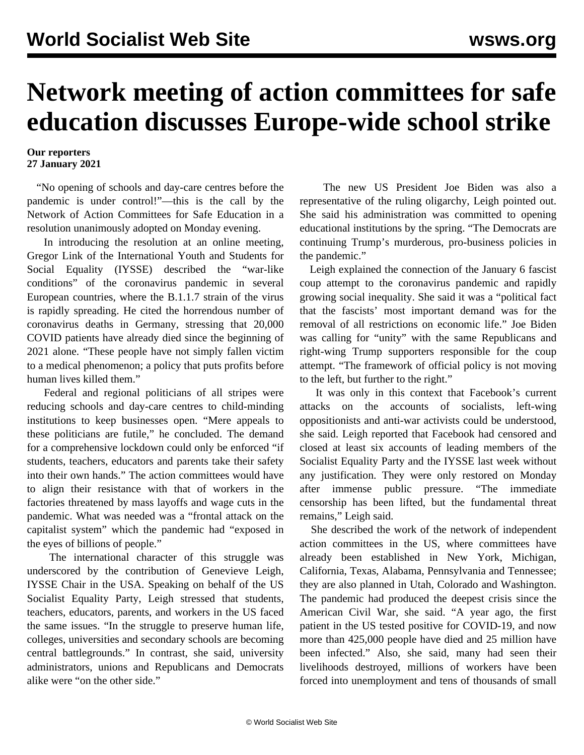## **Network meeting of action committees for safe education discusses Europe-wide school strike**

## **Our reporters 27 January 2021**

 "No opening of schools and day-care centres before the pandemic is under control!"—this is the call by the Network of Action Committees for Safe Education in a resolution unanimously adopted on Monday evening.

 In introducing the resolution at an online meeting, Gregor Link of the International Youth and Students for Social Equality (IYSSE) described the "war-like conditions" of the coronavirus pandemic in several European countries, where the B.1.1.7 strain of the virus is rapidly spreading. He cited the horrendous number of coronavirus deaths in Germany, stressing that 20,000 COVID patients have already died since the beginning of 2021 alone. "These people have not simply fallen victim to a medical phenomenon; a policy that puts profits before human lives killed them."

 Federal and regional politicians of all stripes were reducing schools and day-care centres to child-minding institutions to keep businesses open. "Mere appeals to these politicians are futile," he concluded. The demand for a comprehensive lockdown could only be enforced "if students, teachers, educators and parents take their safety into their own hands." The action committees would have to align their resistance with that of workers in the factories threatened by mass layoffs and wage cuts in the pandemic. What was needed was a "frontal attack on the capitalist system" which the pandemic had "exposed in the eyes of billions of people."

 The international character of this struggle was underscored by the contribution of Genevieve Leigh, IYSSE Chair in the USA. Speaking on behalf of the US Socialist Equality Party, Leigh stressed that students, teachers, educators, parents, and workers in the US faced the same issues. "In the struggle to preserve human life, colleges, universities and secondary schools are becoming central battlegrounds." In contrast, she said, university administrators, unions and Republicans and Democrats alike were "on the other side."

 The new US President Joe Biden was also a representative of the ruling oligarchy, Leigh pointed out. She said his administration was committed to opening educational institutions by the spring. "The Democrats are continuing Trump's murderous, pro-business policies in the pandemic."

 Leigh explained the connection of the January 6 fascist coup attempt to the coronavirus pandemic and rapidly growing social inequality. She said it was a "political fact that the fascists' most important demand was for the removal of all restrictions on economic life." Joe Biden was calling for "unity" with the same Republicans and right-wing Trump supporters responsible for the coup attempt. "The framework of official policy is not moving to the left, but further to the right."

 It was only in this context that Facebook's [current](/en/articles/2021/01/26/pers-j26.html) [attacks](/en/articles/2021/01/26/pers-j26.html) on the accounts of socialists, left-wing oppositionists and anti-war activists could be understood, she said. Leigh reported that Facebook had censored and closed at least six accounts of leading members of the Socialist Equality Party and the IYSSE last week without any justification. They were only restored on Monday after immense public pressure. "The immediate censorship has been lifted, but the fundamental threat remains," Leigh said.

 She described the work of the network of independent action committees in the US, where committees have already been established in New York, Michigan, California, Texas, Alabama, Pennsylvania and Tennessee; they are also planned in Utah, Colorado and Washington. The pandemic had produced the deepest crisis since the American Civil War, she said. "A year ago, the first patient in the US tested positive for COVID-19, and now more than 425,000 people have died and 25 million have been infected." Also, she said, many had seen their livelihoods destroyed, millions of workers have been forced into unemployment and tens of thousands of small